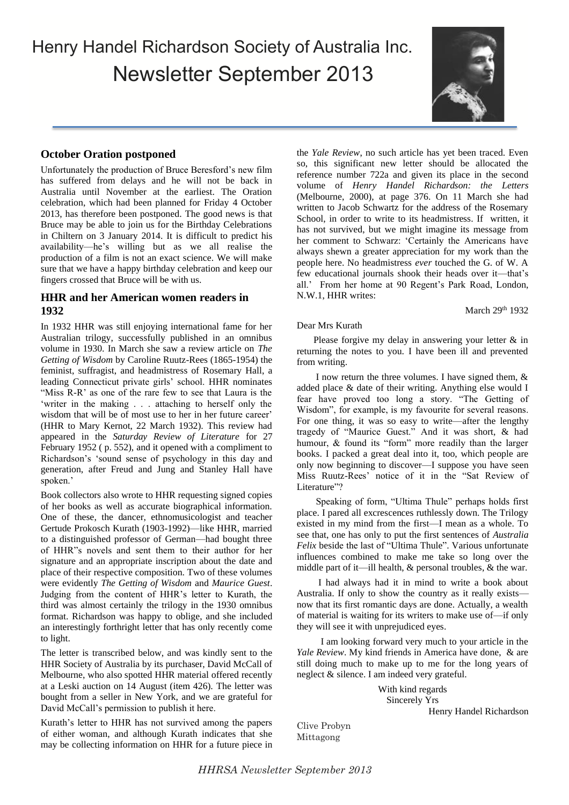Henry Handel Richardson Society of Australia Inc. Newsletter September 2013



# **October Oration postponed**

sure that we have a happy birthday celebration and keep our Unfortunately the production of Bruce Beresford's new film has suffered from delays and he will not be back in Australia until November at the earliest. The Oration celebration, which had been planned for Friday 4 October 2013, has therefore been postponed. The good news is that Bruce may be able to join us for the Birthday Celebrations in Chiltern on 3 January 2014. It is difficult to predict his availability—he's willing but as we all realise the production of a film is not an exact science. We will make fingers crossed that Bruce will be with us.

# **HHR and her American women readers in 1932**

In 1932 HHR was still enjoying international fame for her Australian trilogy, successfully published in an omnibus volume in 1930. In March she saw a review article on *The Getting of Wisdom* by Caroline Ruutz-Rees (1865-1954) the feminist, suffragist, and headmistress of Rosemary Hall, a leading Connecticut private girls' school. HHR nominates "Miss R-R' as one of the rare few to see that Laura is the 'writer in the making . . . attaching to herself only the wisdom that will be of most use to her in her future career' (HHR to Mary Kernot, 22 March 1932). This review had appeared in the *Saturday Review of Literature* for 27 February 1952 ( p. 552), and it opened with a compliment to Richardson's 'sound sense of psychology in this day and generation, after Freud and Jung and Stanley Hall have spoken.'

Book collectors also wrote to HHR requesting signed copies of her books as well as accurate biographical information. One of these, the dancer, ethnomusicologist and teacher Gertude Prokosch Kurath (1903-1992)—like HHR, married to a distinguished professor of German—had bought three of HHR"s novels and sent them to their author for her signature and an appropriate inscription about the date and place of their respective composition. Two of these volumes were evidently *The Getting of Wisdom* and *Maurice Guest*. Judging from the content of HHR's letter to Kurath, the third was almost certainly the trilogy in the 1930 omnibus format. Richardson was happy to oblige, and she included an interestingly forthright letter that has only recently come to light.

The letter is transcribed below, and was kindly sent to the HHR Society of Australia by its purchaser, David McCall of Melbourne, who also spotted HHR material offered recently at a Leski auction on 14 August (item 426). The letter was bought from a seller in New York, and we are grateful for David McCall's permission to publish it here.

Kurath's letter to HHR has not survived among the papers of either woman, and although Kurath indicates that she may be collecting information on HHR for a future piece in the *Yale Review*, no such article has yet been traced. Even so, this significant new letter should be allocated the reference number 722a and given its place in the second volume of *Henry Handel Richardson: the Letters* (Melbourne, 2000), at page 376. On 11 March she had written to Jacob Schwartz for the address of the Rosemary School, in order to write to its headmistress. If written, it has not survived, but we might imagine its message from her comment to Schwarz: 'Certainly the Americans have always shewn a greater appreciation for my work than the people here. No headmistress *ever* touched the G. of W. A few educational journals shook their heads over it—that's all.' From her home at 90 Regent's Park Road, London, N.W.1, HHR writes:

March 29<sup>th</sup> 1932

### Dear Mrs Kurath

Please forgive my delay in answering your letter & in returning the notes to you. I have been ill and prevented from writing.

 I now return the three volumes. I have signed them, & added place & date of their writing. Anything else would I fear have proved too long a story. "The Getting of Wisdom", for example, is my favourite for several reasons. For one thing, it was so easy to write—after the lengthy tragedy of "Maurice Guest." And it was short, & had humour, & found its "form" more readily than the larger books. I packed a great deal into it, too, which people are only now beginning to discover—I suppose you have seen Miss Ruutz-Rees' notice of it in the "Sat Review of Literature"?

 Speaking of form, "Ultima Thule" perhaps holds first place. I pared all excrescences ruthlessly down. The Trilogy existed in my mind from the first—I mean as a whole. To see that, one has only to put the first sentences of *Australia Felix* beside the last of "Ultima Thule". Various unfortunate influences combined to make me take so long over the middle part of it—ill health, & personal troubles, & the war.

 I had always had it in mind to write a book about Australia. If only to show the country as it really exists now that its first romantic days are done. Actually, a wealth of material is waiting for its writers to make use of—if only they will see it with unprejudiced eyes.

 I am looking forward very much to your article in the *Yale Review*. My kind friends in America have done, & are still doing much to make up to me for the long years of neglect & silence. I am indeed very grateful.

> With kind regards Sincerely Yrs Henry Handel Richardson

Clive Probyn Mittagong